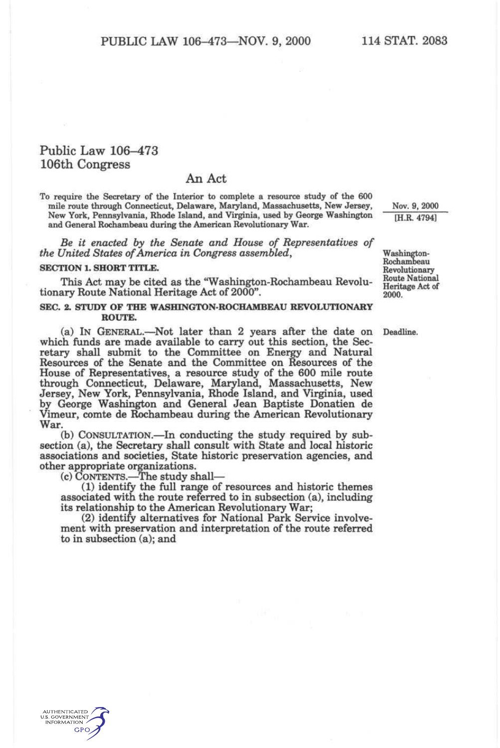## Public Law 106-473 106th Congress

## An Act

To require the Secretary of the Interior to complete a resource study of the 600 mile route through Connecticut, Delaware, Maryland, Massachusetts, New Jersey, New York, Pennsylvania, Rhode Island, and Virginia, used by George Washington and General Rochambeau during the American Revolutionary War.

*Be it enacted by the Senate and House of Representatives of the United States of America in Congress assembled,* 

## **SECTION 1. SHORT TITLE.**

This Act may be cited as the "Washington-Rochambeau Revolutionary Route National Heritage Act of 2000".

## **SEC. 2. STUDY OF THE WASHINGTON-ROCHAMBEAU REVOLUTIONARY ROUTE.**

(a) IN GENERAL.—^Not later than 2 years after the date on which funds are made available to carry out this section, the Secretary shall submit to the Committee on Energy and Natural Resources of the Senate and the Committee on Resources of the House of Representatives, a resource study of the 600 mile route through Connecticut, Delaware, Maryland, Massachusetts, New Jersey, New York, Pennsylvania, Rhode Island, and Virginia, used by George Washington and General Jean Baptiste Donatien de Vimeur, comte de Rochambeau during the American Revolutionary War.

(b) CONSULTATION.—In conducting the study required by subsection (a), the Secretary shall consult with State and local historic associations and societies, State historic preservation agencies, and other appropriate organizations.

(c) CONTENTS.—^The study shall—

(1) identify the full range of resources and historic themes associated with the route referred to in subsection (a), including its relationship to the American Revolutionary War;

(2) identify alternatives for National Park Service involvement with preservation and interpretation of the route referred to in subsection (a); and

Nov. 9, 2000 [H.R. 4794]

Washington-Rochambeau Revolutionary Route National Heritage Act of 2000.

Deadline.